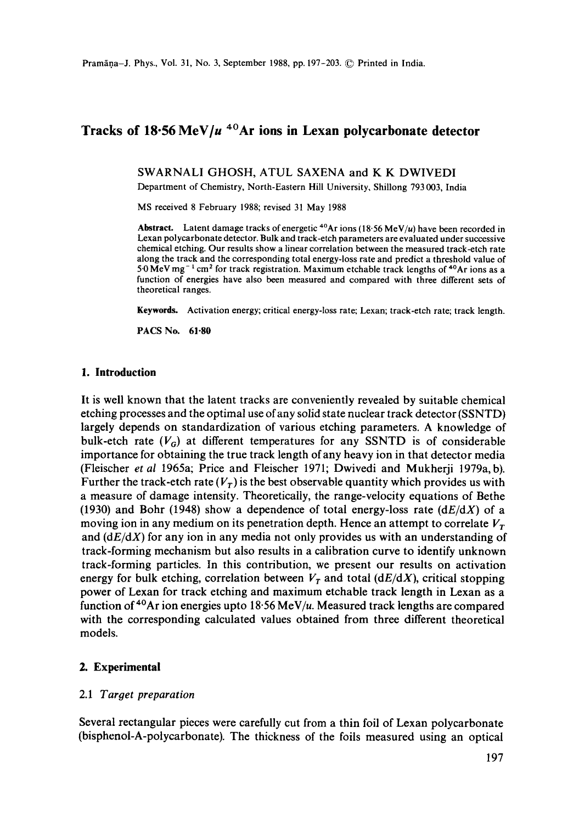# **Tracks of 18.56 MeV]u 4°Ar ions in Lexan polycarbonate detector**

SWARNALI GHOSH, ATUL SAXENA and K K DWIVEDI

Department of Chemistry, North-Eastern Hill University, Shillong 793 003, India

MS received 8 February 1988; revised 31 May 1988

Abstract. Latent damage tracks of energetic <sup>40</sup>Ar ions (18.56 MeV/u) have been recorded in Lexan polycarbonate detector. Bulk and track-etch parameters are evaluated under successive chemical etching. Our results show a linear correlation between the measured track-etch rate along the track and the corresponding total energy-loss rate and predict a threshold value of 5.0 MeV mg<sup>-1</sup> cm<sup>2</sup> for track registration. Maximum etchable track lengths of <sup>40</sup>Ar ions as a function of energies have also been measured and compared with three different sets of theoretical ranges.

Keywords. Activation energy; critical energy-loss rate; Lexan; track-etch rate; track length.

PACS No. 61-80

#### **1. Introduction**

It is well known that the latent tracks are conveniently revealed by suitable chemical etching processes and the optimal use of any solid state nuclear track detector (SSNTD) largely depends on standardization of various etching parameters. A knowledge of bulk-etch rate  $(V_G)$  at different temperatures for any SSNTD is of considerable importance for obtaining the true track length of any heavy ion in that detector media (Fleischer *et al* 1965a; Price and Fleischer 1971; Dwivedi and Mukherji 1979a, b). Further the track-etch rate  $(V_T)$  is the best observable quantity which provides us with a measure of damage intensity. Theoretically, the range-velocity equations of Bethe (1930) and Bohr (1948) show a dependence of total energy-loss rate *(dE/dX)* of a moving ion in any medium on its penetration depth. Hence an attempt to correlate  $V<sub>r</sub>$ and *(dE/dX)* for any ion in any media not only provides us with an understanding of track-forming mechanism but also results in a calibration curve to identify unknown track-forming particles. In this contribution, we present our results on activation energy for bulk etching, correlation between  $V_T$  and total *(dE/dX)*, critical stopping power of Lexan for track etching and maximum etchable track length in Lexan as a function of  $40$ Ar ion energies upto 18:56 MeV/u. Measured track lengths are compared with the corresponding calculated values obtained from three different theoretical models.

#### **2. Experimental**

#### 2.1 *Target preparation*

Several rectangular pieces were carefully cut from a thin foil of Lexan polycarbonate (bisphenol-A-polycarbonate). The thickness of the foils measured using an optical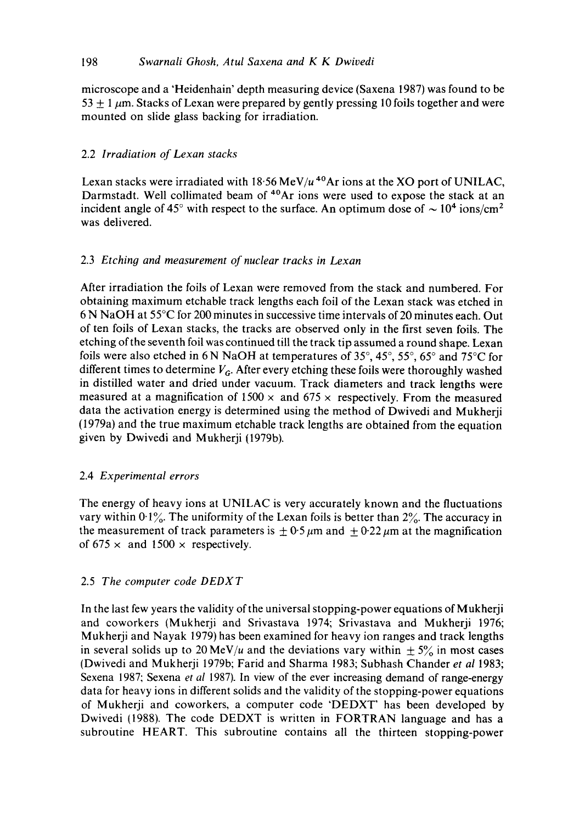## 198 *Swarnali Ghosh, Atul Saxena and K K Dwivedi*

microscope and a 'Heidenhain' depth measuring device (Saxena 1987) was found to be  $53 \pm 1 \,\mu$ m. Stacks of Lexan were prepared by gently pressing 10 foils together and were mounted on slide glass backing for irradiation.

# 2.2 *Irradiation of Lexan stacks*

Lexan stacks were irradiated with  $18.56 \text{ MeV}/u$ <sup>40</sup>Ar ions at the XO port of UNILAC, Darmstadt. Well collimated beam of <sup>40</sup>Ar ions were used to expose the stack at an incident angle of 45° with respect to the surface. An optimum dose of  $\sim 10^4$  ions/cm<sup>2</sup> was delivered.

# 2.3 *Etching and measurement of nuclear tracks in Lexan*

After irradiation the foils of Lexan were removed from the stack and numbered. For obtaining maximum etchable track lengths each foil of the Lexan stack was etched in 6 N NaOH at 55°C for 200 minutes in successive time intervals of 20 minutes each. Out of ten foils of Lexan stacks, the tracks are observed only in the first seven foils. The etching of the seventh foil was continued till the track tip assumed a round shape. Lexan foils were also etched in 6 N NaOH at temperatures of  $35^{\circ}$ ,  $45^{\circ}$ ,  $55^{\circ}$ ,  $65^{\circ}$  and  $75^{\circ}$ C for different times to determine  $V_G$ . After every etching these foils were thoroughly washed in distilled water and dried under vacuum. Track diameters and track lengths were measured at a magnification of  $1500 \times$  and  $675 \times$  respectively. From the measured data the activation energy is determined using the method of Dwivedi and Mukherji (1979a) and the true maximum etchable track lengths are obtained from the equation given by Dwivedi and Mukherji (1979b).

## 2.4 *Experimental errors*

The energy of heavy ions at UNILAC is very accurately known and the fluctuations vary within  $0.1\%$ . The uniformity of the Lexan foils is better than  $2\%$ . The accuracy in the measurement of track parameters is  $\pm 0.5 \mu m$  and  $\pm 0.22 \mu m$  at the magnification of 675  $\times$  and 1500  $\times$  respectively.

## 2.5 *The computer code DEDXT*

In the last few years the validity of the universal stopping-power equations of Mukherji and coworkers (Mukherji and Srivastava 1974; Srivastava and Mukherji 1976; Mukherji and Nayak 1979) has been examined for heavy ion ranges and track lengths in several solids up to 20 MeV/u and the deviations vary within  $\pm$  5% in most cases (Dwivedi and Mukherji 1979b; Farid and Sharma 1983; Subhash Chander *et al* 1983; Sexena 1987; Sexena *et al* 1987). In view of the ever increasing demand of range-energy data for heavy ions in different solids and the validity of the stopping-power equations of Mukherji and coworkers, a computer code 'DEDXT' has been developed by Dwivedi (1988). The code DEDXT is written in FORTRAN language and has a subroutine HEART. This subroutine contains all the thirteen stopping-power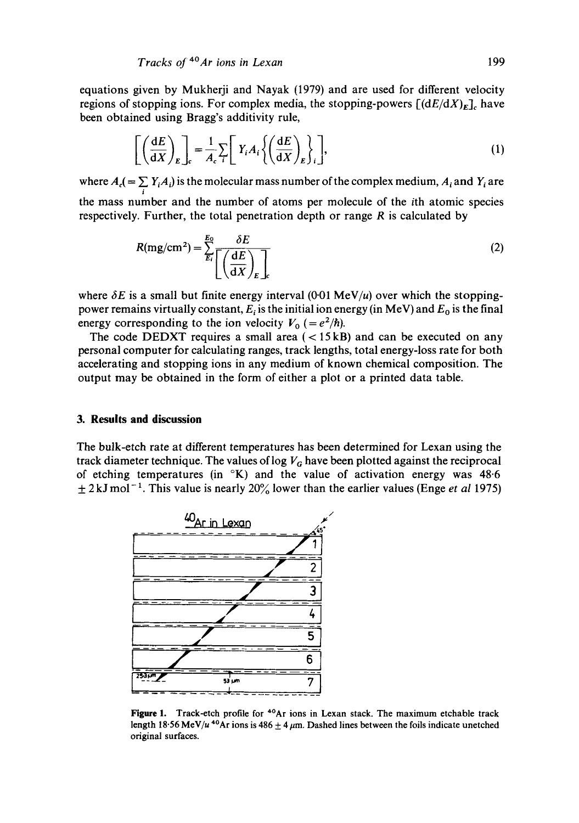equations given by Mukherji and Nayak (1979) and are used for different velocity regions of stopping ions. For complex media, the stopping-powers  $[(dE/dX)_E]$ , have been obtained using Bragg's additivity rule,

$$
\left[ \left( \frac{dE}{dX} \right)_E \right]_c = \frac{1}{A_c} \sum_i \left[ Y_i A_i \left\{ \left( \frac{dE}{dX} \right)_E \right\}_i \right],\tag{1}
$$

where  $A_i$  (=  $\sum_i Y_i A_i$ ) is the molecular mass number of the complex medium,  $A_i$  and  $Y_i$  are the mass number and the number of atoms per molecule of the ith atomic species respectively. Further, the total penetration depth or range  $R$  is calculated by

$$
R(mg/cm2) = \sum_{E_i}^{E_0} \frac{\delta E}{\left[ \left( \frac{\mathrm{d}E}{\mathrm{d}X} \right)_E \right]_c} \tag{2}
$$

where  $\delta E$  is a small but finite energy interval (0-01 MeV/u) over which the stoppingpower remains virtually constant,  $E_i$  is the initial ion energy (in MeV) and  $E_0$  is the final energy corresponding to the ion velocity  $V_0 = e^2/h$ .

The code DEDXT requires a small area  $(<15 \text{ kB})$  and can be executed on any personal computer for calculating ranges, track lengths, total energy-loss rate for both accelerating and stopping ions in any medium of known chemical composition. The output may be obtained in the form of either a plot or a printed data table.

## **3. Results and discussion**

The bulk-etch rate at different temperatures has been determined for Lexan using the track diameter technique. The values of log  $V_G$  have been plotted against the reciprocal of etching temperatures (in °K) and the value of activation energy was 48-6  $\pm$  2 kJ mol<sup>-1</sup>. This value is nearly 20% lower than the earlier values (Enge *et al* 1975)



Figure 1. Track-etch profile for <sup>40</sup>Ar ions in Lexan stack. The maximum etchable track length 18.56 MeV/u<sup>40</sup>Ar ions is 486  $\pm$  4  $\mu$ m. Dashed lines between the foils indicate unetched original surfaces.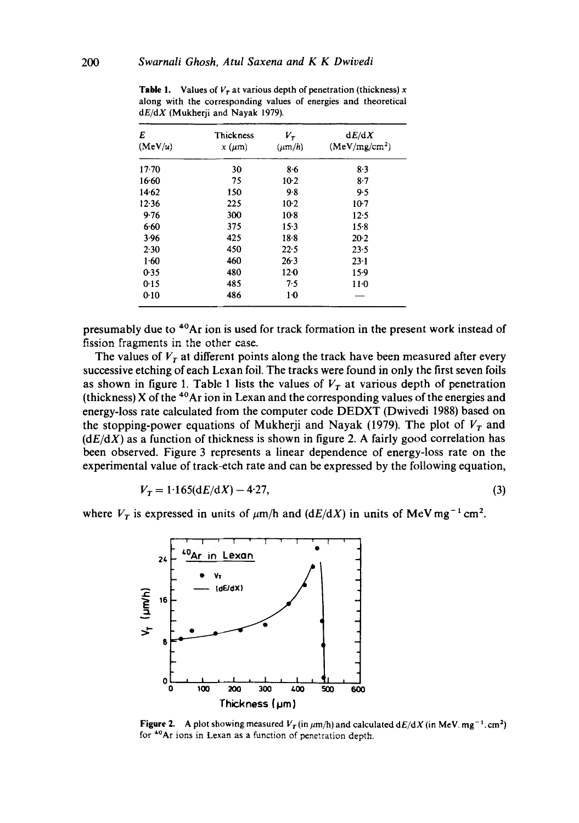| E<br>(Mev/u) | Thickness<br>$x \, (\mu m)$ | $V_{\rm r}$<br>$(\mu m/h)$ | dE/dX<br>(MeV/mg/cm <sup>2</sup> ) |
|--------------|-----------------------------|----------------------------|------------------------------------|
| $17 - 70$    | 30                          | 8.6                        | $8-3$                              |
| 16.60        | 75                          | $10-2$                     | $8-7$                              |
| 14.62        | 150                         | 9.8                        | 9.5                                |
| 12.36        | 225                         | $10-2$                     | $10-7$                             |
| 9.76         | 300                         | $10-8$                     | $12-5$                             |
| 6.60         | 375                         | $15-3$                     | $15-8$                             |
| 3.96         | 425                         | $18 - 8$                   | $20-2$                             |
| 2.30         | 450                         | 22.5                       | 23.5                               |
| 1.60         | 460                         | 26.3                       | $23 - 1$                           |
| 0.35         | 480                         | 12 <sub>0</sub>            | $15-9$                             |
| 0.15         | 485                         | 7.5                        | $11-0$                             |
| 0:10         | 486                         | $1-0$                      |                                    |

**Table 1.** Values of  $V_r$  at various depth of penetration (thickness) x along with the corresponding values of energies and theoretical *dE/dX* (Mukherji and Nayak 1979).

presumably due to 4°Ar ion is used for track formation in the present work instead of fission fragments in the other case.

The values of  $V<sub>r</sub>$  at different points along the track have been measured after every successive etching of each Lexan foil. The tracks were found in only the first seven foils as shown in figure 1. Table 1 lists the values of  $V_T$  at various depth of penetration (thickness) X of the  $40$ Ar ion in Lexan and the corresponding values of the energies and energy-loss rate calculated from the computer code DEDXT (Dwivedi 1988) based on the stopping-power equations of Mukherji and Nayak (1979). The plot of  $V_T$  and  $(dE/dX)$  as a function of thickness is shown in figure 2. A fairly good correlation has been observed. Figure 3 represents a linear dependence of energy-loss rate on the experimental value of track-etch rate and can be expressed by the following equation,

$$
V_T = 1.165(dE/dX) - 4.27,
$$
\n(3)

where  $V_T$  is expressed in units of  $\mu$ m/h and *(dE/dX)* in units of MeV mg<sup>-1</sup> cm<sup>2</sup>.



**Figure 2.** A plot showing measured  $V_T$  (in  $\mu$ m/h) and calculated  $dE/dX$  (in MeV. mg<sup>-1</sup>.cm<sup>2</sup>) for <sup>40</sup>Ar ions in Lexan as a function of penetration depth.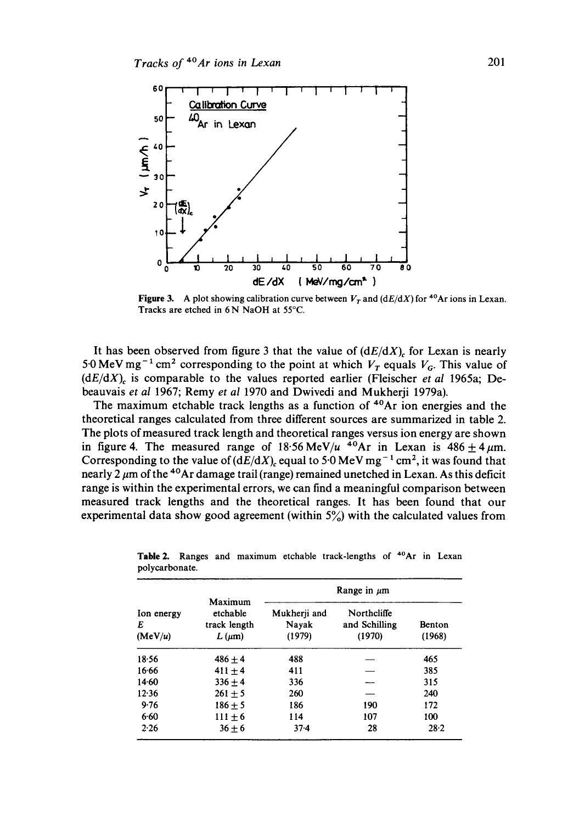

**Figure 3.** A plot showing calibration curve between  $V_T$  and  $(dE/dX)$  for <sup>40</sup>Ar ions in Lexan. Tracks are etched in 6 N NaOH at 55°C.

It has been observed from figure 3 that the value of  $(dE/dX)$ <sub>c</sub> for Lexan is nearly 5.0 MeV mg<sup>-1</sup> cm<sup>2</sup> corresponding to the point at which  $V_T$  equals  $V_G$ . This value of  $(dE/dX)$ <sub>c</sub> is comparable to the values reported earlier (Fleischer *et al* 1965a; Debeauvais *et al* 1967; Remy *et al* 1970 and Dwivedi and Mukherji 1979a).

The maximum etchable track lengths as a function of <sup>40</sup>Ar ion energies and the theoretical ranges calculated from three different sources are summarized in table 2. The plots of measured track length and theoretical ranges versus ion energy are shown in figure 4. The measured range of  $18.56 \text{ MeV}/u$  <sup>40</sup>Ar in Lexan is  $486 \pm 4 \mu \text{m}$ . Corresponding to the value of  $(dE/dX)$  equal to 5.0 MeV mg<sup>-1</sup> cm<sup>2</sup>, it was found that nearly 2  $\mu$ m of the <sup>40</sup>Ar damage trail (range) remained unetched in Lexan. As this deficit range is within the experimental errors, we can find a meaningful comparison between measured track lengths and the theoretical ranges. It has been found that our experimental data show good agreement (within  $5\%$ ) with the calculated values from

| Ion energy<br>E<br>(MeV/u) | Maximum<br>etchable<br>track length<br>$L(\mu m)$ | Range in $\mu$ m                |                                        |                         |  |
|----------------------------|---------------------------------------------------|---------------------------------|----------------------------------------|-------------------------|--|
|                            |                                                   | Mukherii and<br>Navak<br>(1979) | Northcliffe<br>and Schilling<br>(1970) | <b>Benton</b><br>(1968) |  |
| 18.56                      | $486 + 4$                                         | 488                             |                                        | 465                     |  |
| 16.66                      | $411 + 4$                                         | 411                             |                                        | 385                     |  |
| 14.60                      | $336 + 4$                                         | 336                             |                                        | 315                     |  |
| 12.36                      | $261 + 5$                                         | 260                             |                                        | 240                     |  |
| 9.76                       | $186 + 5$                                         | 186                             | 190                                    | 172                     |  |
| 6.60                       | $111 + 6$                                         | 114                             | 107                                    | 100                     |  |
| 2.26                       | $36 + 6$                                          | $37-4$                          | 28                                     | 28.2                    |  |

Table 2. Ranges and maximum etchable track-lengths of  $40Ar$  in Lexan polycarbonate.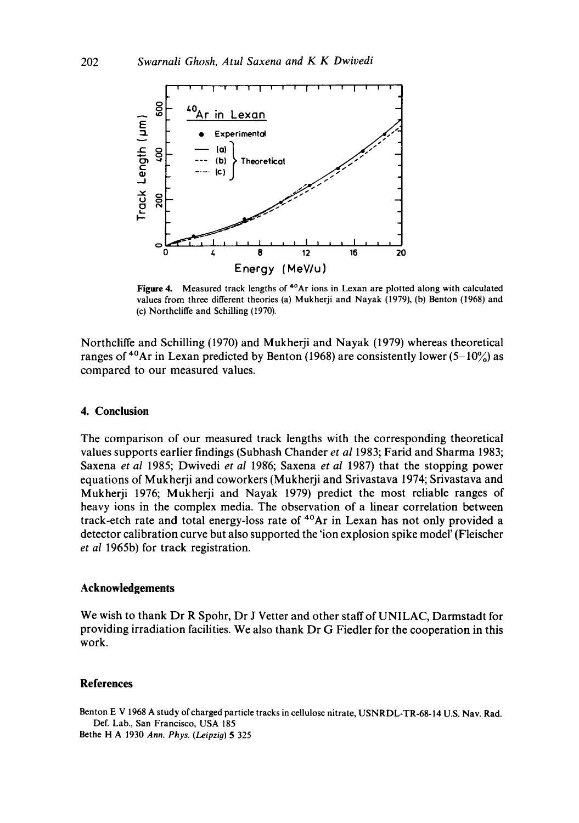

**Figure** 4. Measured track lengths of 4°Ar ions in Lexan are plotted along with calculated values from three different theories (a) Mukherji and Nayak (1979), (b) Benton (1968) and (c) Northcliffe and Schilling (1970).

Northcliffe and Schilling (1970) and Mukherji and Nayak (1979) whereas theoretical ranges of <sup>40</sup>Ar in Lexan predicted by Benton (1968) are consistently lower (5–10%) as compared to our measured values.

#### **4. Conclusion**

The comparison of our measured track lengths with the corresponding theoretical values supports earlier findings (Subhash Chander *et al* 1983; Farid and Sharma 1983; Saxena *et al* 1985; Dwivedi *et al* 1986; Saxena *et al* 1987) that the stopping power equations of Mukherji and coworkers (Mukherji and Srivastava 1974; Srivastava and Mukherji t976; Mukherji and Nayak 1979) predict the most reliable ranges of heavy ions in the complex media. The observation of a linear correlation between track-etch rate and total energy-loss rate of 4°Ar in Lexan has not only provided a detector calibration curve but also supported the 'ion explosion spike model' (Fleischer *et al* 1965b) for track registration.

#### **Acknowledgements**

We wish to thank Dr R Spohr, Dr J Vetter and other staff of UNILAC, Darmstadt for providing irradiation facilities. We also thank Dr G Fiedler for the cooperation in this work.

#### **References**

Benton E V 1968 A study of charged particle tracks in cellulose nitrate, USNRDL-TR-68-14 U.S. Nav. Rad. Def. Lab., San Francisco, USA 185

Bethe H A 1930 *Ann. Phys. (Leipzig)* 5 325